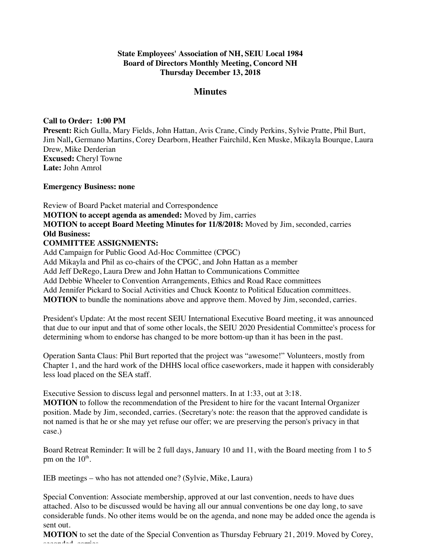## **State Employees' Association of NH, SEIU Local 1984 Board of Directors Monthly Meeting, Concord NH Thursday December 13, 2018**

# **Minutes**

## **Call to Order: 1:00 PM**

**Present:** Rich Gulla, Mary Fields, John Hattan, Avis Crane, Cindy Perkins, Sylvie Pratte, Phil Burt, Jim Nall**,** Germano Martins, Corey Dearborn, Heather Fairchild, Ken Muske, Mikayla Bourque, Laura Drew, Mike Derderian **Excused:** Cheryl Towne **Late:** John Amrol

## **Emergency Business: none**

Review of Board Packet material and Correspondence **MOTION to accept agenda as amended:** Moved by Jim, carries **MOTION to accept Board Meeting Minutes for 11/8/2018:** Moved by Jim, seconded, carries **Old Business: COMMITTEE ASSIGNMENTS:**

Add Campaign for Public Good Ad-Hoc Committee (CPGC) Add Mikayla and Phil as co-chairs of the CPGC, and John Hattan as a member Add Jeff DeRego, Laura Drew and John Hattan to Communications Committee Add Debbie Wheeler to Convention Arrangements, Ethics and Road Race committees Add Jennifer Pickard to Social Activities and Chuck Koontz to Political Education committees. **MOTION** to bundle the nominations above and approve them. Moved by Jim, seconded, carries.

President's Update: At the most recent SEIU International Executive Board meeting, it was announced that due to our input and that of some other locals, the SEIU 2020 Presidential Committee's process for determining whom to endorse has changed to be more bottom-up than it has been in the past.

Operation Santa Claus: Phil Burt reported that the project was "awesome!" Volunteers, mostly from Chapter 1, and the hard work of the DHHS local office caseworkers, made it happen with considerably less load placed on the SEA staff.

Executive Session to discuss legal and personnel matters. In at 1:33, out at 3:18. **MOTION** to follow the recommendation of the President to hire for the vacant Internal Organizer position. Made by Jim, seconded, carries. (Secretary's note: the reason that the approved candidate is not named is that he or she may yet refuse our offer; we are preserving the person's privacy in that case.)

Board Retreat Reminder: It will be 2 full days, January 10 and 11, with the Board meeting from 1 to 5 pm on the  $10^{\text{th}}$ .

IEB meetings – who has not attended one? (Sylvie, Mike, Laura)

Special Convention: Associate membership, approved at our last convention, needs to have dues attached. Also to be discussed would be having all our annual conventions be one day long, to save considerable funds. No other items would be on the agenda, and none may be added once the agenda is sent out.

**MOTION** to set the date of the Special Convention as Thursday February 21, 2019. Moved by Corey, seconded, carries.